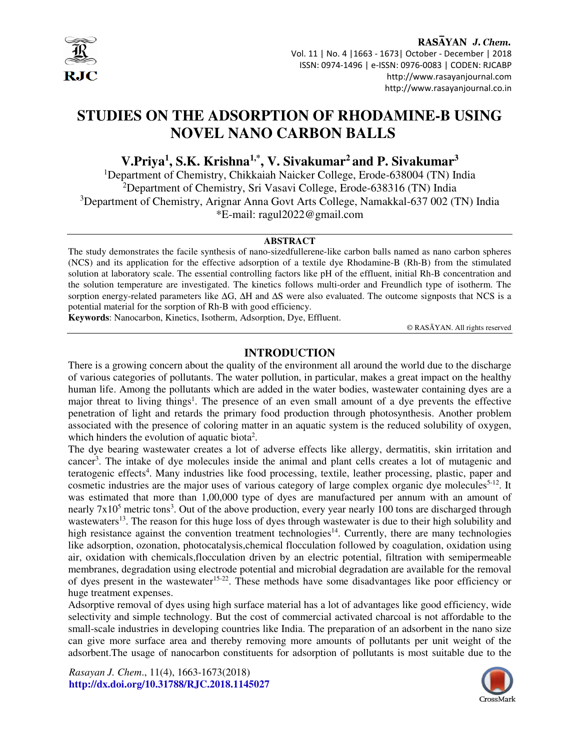

#### RASAYAN J. Chem. Vol. 11 | No. 4 |1663 - 1673| October - December | 2018 ISSN: 0974-1496 | e-ISSN: 0976-0083 | CODEN: RJCABP http://www.rasayanjournal.com http://www.rasayanjournal.co.in

# **STUDIES ON THE ADSORPTION OF RHODAMINE-B USING NOVEL NANO CARBON BALLS**

**V.Priya<sup>1</sup> , S.K. Krishna1,\*, V. Sivakumar<sup>2</sup>and P. Sivakumar<sup>3</sup>**

<sup>1</sup>Department of Chemistry, Chikkaiah Naicker College, Erode-638004 (TN) India <sup>2</sup>Department of Chemistry, Sri Vasavi College, Erode-638316 (TN) India <sup>3</sup>Department of Chemistry, Arignar Anna Govt Arts College, Namakkal-637 002 (TN) India \*E-mail: ragul2022@gmail.com

#### **ABSTRACT**

The study demonstrates the facile synthesis of nano-sizedfullerene-like carbon balls named as nano carbon spheres (NCS) and its application for the effective adsorption of a textile dye Rhodamine-B (Rh-B) from the stimulated solution at laboratory scale. The essential controlling factors like pH of the effluent, initial Rh-B concentration and the solution temperature are investigated. The kinetics follows multi-order and Freundlich type of isotherm. The sorption energy-related parameters like  $\Delta G$ ,  $\Delta H$  and  $\Delta S$  were also evaluated. The outcome signposts that NCS is a potential material for the sorption of Rh-B with good efficiency.

**Keywords**: Nanocarbon, Kinetics, Isotherm, Adsorption, Dye, Effluent.

© RASĀYAN. All rights reserved

# **INTRODUCTION**

There is a growing concern about the quality of the environment all around the world due to the discharge of various categories of pollutants. The water pollution, in particular, makes a great impact on the healthy human life. Among the pollutants which are added in the water bodies, wastewater containing dyes are a major threat to living things<sup>1</sup>. The presence of an even small amount of a dye prevents the effective penetration of light and retards the primary food production through photosynthesis. Another problem associated with the presence of coloring matter in an aquatic system is the reduced solubility of oxygen, which hinders the evolution of aquatic biota<sup>2</sup>.

The dye bearing wastewater creates a lot of adverse effects like allergy, dermatitis, skin irritation and cancer<sup>3</sup>. The intake of dye molecules inside the animal and plant cells creates a lot of mutagenic and teratogenic effects<sup>4</sup>. Many industries like food processing, textile, leather processing, plastic, paper and cosmetic industries are the major uses of various category of large complex organic dye molecules<sup>5-12</sup>. It was estimated that more than 1,00,000 type of dyes are manufactured per annum with an amount of nearly 7x10<sup>5</sup> metric tons<sup>3</sup>. Out of the above production, every year nearly 100 tons are discharged through wastewaters<sup>13</sup>. The reason for this huge loss of dyes through wastewater is due to their high solubility and high resistance against the convention treatment technologies<sup>14</sup>. Currently, there are many technologies like adsorption, ozonation, photocatalysis,chemical flocculation followed by coagulation, oxidation using air, oxidation with chemicals,flocculation driven by an electric potential, filtration with semipermeable membranes, degradation using electrode potential and microbial degradation are available for the removal of dyes present in the wastewater<sup>15-22</sup>. These methods have some disadvantages like poor efficiency or huge treatment expenses.

Adsorptive removal of dyes using high surface material has a lot of advantages like good efficiency, wide selectivity and simple technology. But the cost of commercial activated charcoal is not affordable to the small-scale industries in developing countries like India. The preparation of an adsorbent in the nano size can give more surface area and thereby removing more amounts of pollutants per unit weight of the adsorbent.The usage of nanocarbon constituents for adsorption of pollutants is most suitable due to the

*Rasayan J. Chem*., 11(4), 1663-1673(2018) **http://dx.doi.org/10.31788/RJC.2018.1145027** 

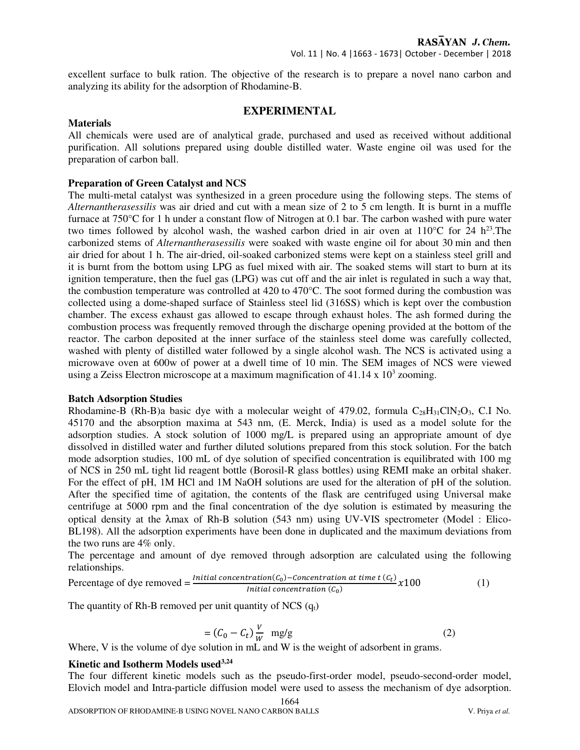excellent surface to bulk ration. The objective of the research is to prepare a novel nano carbon and analyzing its ability for the adsorption of Rhodamine-B.

# **EXPERIMENTAL**

#### **Materials**

All chemicals were used are of analytical grade, purchased and used as received without additional purification. All solutions prepared using double distilled water. Waste engine oil was used for the preparation of carbon ball.

#### **Preparation of Green Catalyst and NCS**

The multi-metal catalyst was synthesized in a green procedure using the following steps. The stems of *Alternantherasessilis* was air dried and cut with a mean size of 2 to 5 cm length. It is burnt in a muffle furnace at 750°C for 1 h under a constant flow of Nitrogen at 0.1 bar. The carbon washed with pure water two times followed by alcohol wash, the washed carbon dried in air oven at  $110^{\circ}$ C for 24 h<sup>23</sup>. The carbonized stems of *Alternantherasessilis* were soaked with waste engine oil for about 30 min and then air dried for about 1 h. The air-dried, oil-soaked carbonized stems were kept on a stainless steel grill and it is burnt from the bottom using LPG as fuel mixed with air. The soaked stems will start to burn at its ignition temperature, then the fuel gas (LPG) was cut off and the air inlet is regulated in such a way that, the combustion temperature was controlled at 420 to 470°C. The soot formed during the combustion was collected using a dome-shaped surface of Stainless steel lid (316SS) which is kept over the combustion chamber. The excess exhaust gas allowed to escape through exhaust holes. The ash formed during the combustion process was frequently removed through the discharge opening provided at the bottom of the reactor. The carbon deposited at the inner surface of the stainless steel dome was carefully collected, washed with plenty of distilled water followed by a single alcohol wash. The NCS is activated using a microwave oven at 600w of power at a dwell time of 10 min. The SEM images of NCS were viewed using a Zeiss Electron microscope at a maximum magnification of  $41.14 \times 10^3$  zooming.

#### **Batch Adsorption Studies**

Rhodamine-B (Rh-B)a basic dye with a molecular weight of 479.02, formula  $C_{28}H_{31}CIN_2O_3$ , C.I No. 45170 and the absorption maxima at 543 nm, (E. Merck, India) is used as a model solute for the adsorption studies. A stock solution of 1000 mg/L is prepared using an appropriate amount of dye dissolved in distilled water and further diluted solutions prepared from this stock solution. For the batch mode adsorption studies, 100 mL of dye solution of specified concentration is equilibrated with 100 mg of NCS in 250 mL tight lid reagent bottle (Borosil-R glass bottles) using REMI make an orbital shaker. For the effect of pH, 1M HCl and 1M NaOH solutions are used for the alteration of pH of the solution. After the specified time of agitation, the contents of the flask are centrifuged using Universal make centrifuge at 5000 rpm and the final concentration of the dye solution is estimated by measuring the optical density at the λmax of Rh-B solution (543 nm) using UV-VIS spectrometer (Model : Elico-BL198). All the adsorption experiments have been done in duplicated and the maximum deviations from the two runs are 4% only.

The percentage and amount of dye removed through adsorption are calculated using the following relationships.

Percentage of dye removed = 
$$
\frac{Initial\ concentration(C_0) - concentration\ at\ time\ t\ (C_t)}{Initial\ concentration\ (C_0)} \times 100
$$
 (1)

The quantity of Rh-B removed per unit quantity of NCS  $(q_t)$ 

$$
= (C_0 - C_t) \frac{v}{w} \text{ mg/g}
$$
 (2)

Where, V is the volume of dye solution in mL and W is the weight of adsorbent in grams.

#### **Kinetic and Isotherm Models used3,24**

1664 The four different kinetic models such as the pseudo-first-order model, pseudo-second-order model, Elovich model and Intra-particle diffusion model were used to assess the mechanism of dye adsorption.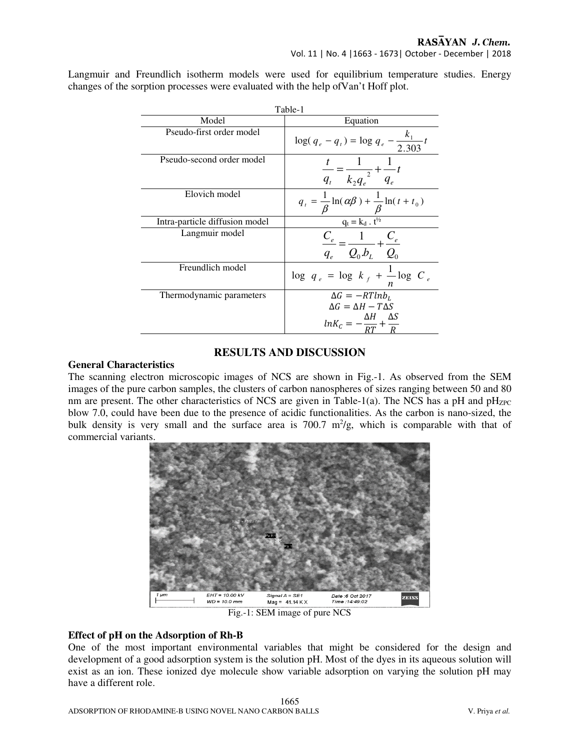Langmuir and Freundlich isotherm models were used for equilibrium temperature studies. Energy changes of the sorption processes were evaluated with the help ofVan't Hoff plot.

| Table-1                        |                                                                                                       |  |  |  |
|--------------------------------|-------------------------------------------------------------------------------------------------------|--|--|--|
| Model                          | Equation                                                                                              |  |  |  |
| Pseudo-first order model       | $\log(q_e - q_t) = \log q_e - \frac{k_1}{2.303}t$                                                     |  |  |  |
| Pseudo-second order model      | $\frac{t}{q_t} = \frac{1}{k_2q_e} + \frac{1}{q_e}t$                                                   |  |  |  |
| Elovich model                  | $q_{t} = \frac{1}{\beta} \ln(\alpha \beta) + \frac{1}{\beta} \ln(t + t_{0})$                          |  |  |  |
| Intra-particle diffusion model | $q_t = k_d \cdot t^{1/2}$                                                                             |  |  |  |
| Langmuir model                 | $\frac{C_e}{C_e} = \frac{1}{C_e} + \frac{C_e}{C_e}$<br>$q_e$ $Q_0.b_L$ $Q_0$                          |  |  |  |
| Freundlich model               | $\log q_e = \log k_f + \frac{1}{n} \log C_e$                                                          |  |  |  |
| Thermodynamic parameters       | $\Delta G = -RTln b_L$<br>$\Delta G = \Delta H - T \Delta S$<br>ΔH AS<br>$ln K_c = -\frac{1}{RT} + -$ |  |  |  |

# **RESULTS AND DISCUSSION**

# **General Characteristics**

The scanning electron microscopic images of NCS are shown in Fig.-1. As observed from the SEM images of the pure carbon samples, the clusters of carbon nanospheres of sizes ranging between 50 and 80 nm are present. The other characteristics of NCS are given in Table-1(a). The NCS has a pH and  $pH_{ZPC}$ blow 7.0, could have been due to the presence of acidic functionalities. As the carbon is nano-sized, the bulk density is very small and the surface area is  $700.7 \text{ m}^2/\text{g}$ , which is comparable with that of commercial variants.



Fig.-1: SEM image of pure NCS

# **Effect of pH on the Adsorption of Rh-B**

One of the most important environmental variables that might be considered for the design and development of a good adsorption system is the solution pH. Most of the dyes in its aqueous solution will exist as an ion. These ionized dye molecule show variable adsorption on varying the solution pH may have a different role.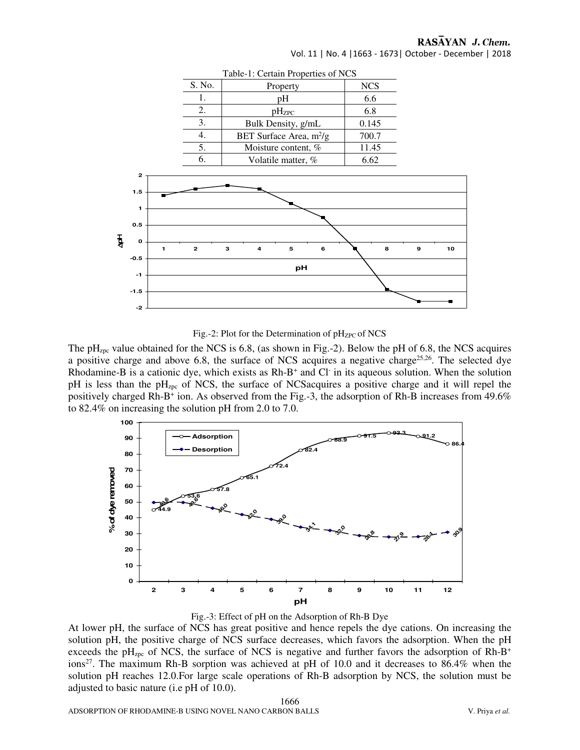Vol. 11 | No. 4 |1663 - 1673| October - December | 2018



Table-1: Certain Properties of NCS



The  $pH<sub>zpc</sub>$  value obtained for the NCS is 6.8, (as shown in Fig.-2). Below the pH of 6.8, the NCS acquires a positive charge and above 6.8, the surface of NCS acquires a negative charge<sup>25,26</sup>. The selected dye Rhodamine-B is a cationic dye, which exists as Rh-B<sup>+</sup> and Cl<sup>-</sup> in its aqueous solution. When the solution pH is less than the pH<sub>zpc</sub> of NCS, the surface of NCSacquires a positive charge and it will repel the positively charged Rh-B<sup>+</sup> ion. As observed from the Fig.-3, the adsorption of Rh-B increases from 49.6% to 82.4% on increasing the solution pH from 2.0 to 7.0.





At lower pH, the surface of NCS has great positive and hence repels the dye cations. On increasing the solution pH, the positive charge of NCS surface decreases, which favors the adsorption. When the pH exceeds the pH<sub>zpc</sub> of NCS, the surface of NCS is negative and further favors the adsorption of Rh-B<sup>+</sup> ions<sup>27</sup>. The maximum Rh-B sorption was achieved at pH of 10.0 and it decreases to 86.4% when the solution pH reaches 12.0.For large scale operations of Rh-B adsorption by NCS, the solution must be adjusted to basic nature (i.e pH of 10.0).

1666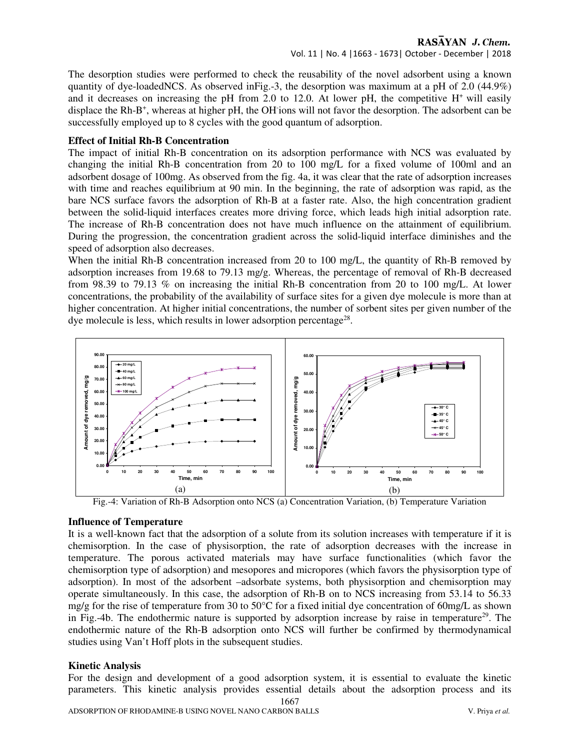Vol. 11 | No. 4 |1663 - 1673| October - December | 2018

The desorption studies were performed to check the reusability of the novel adsorbent using a known quantity of dye-loadedNCS. As observed inFig.-3, the desorption was maximum at a pH of 2.0 (44.9%) and it decreases on increasing the pH from 2.0 to 12.0. At lower pH, the competitive  $H^+$  will easily displace the Rh-B<sup>+</sup>, whereas at higher pH, the OH ions will not favor the desorption. The adsorbent can be successfully employed up to 8 cycles with the good quantum of adsorption.

#### **Effect of Initial Rh-B Concentration**

The impact of initial Rh-B concentration on its adsorption performance with NCS was evaluated by changing the initial Rh-B concentration from 20 to 100 mg/L for a fixed volume of 100ml and an adsorbent dosage of 100mg. As observed from the fig. 4a, it was clear that the rate of adsorption increases with time and reaches equilibrium at 90 min. In the beginning, the rate of adsorption was rapid, as the bare NCS surface favors the adsorption of Rh-B at a faster rate. Also, the high concentration gradient between the solid-liquid interfaces creates more driving force, which leads high initial adsorption rate. The increase of Rh-B concentration does not have much influence on the attainment of equilibrium. During the progression, the concentration gradient across the solid-liquid interface diminishes and the speed of adsorption also decreases.

When the initial Rh-B concentration increased from 20 to 100 mg/L, the quantity of Rh-B removed by adsorption increases from 19.68 to 79.13 mg/g. Whereas, the percentage of removal of Rh-B decreased from 98.39 to 79.13 % on increasing the initial Rh-B concentration from 20 to 100 mg/L. At lower concentrations, the probability of the availability of surface sites for a given dye molecule is more than at higher concentration. At higher initial concentrations, the number of sorbent sites per given number of the dye molecule is less, which results in lower adsorption percentage<sup>28</sup>.



Fig.-4: Variation of Rh-B Adsorption onto NCS (a) Concentration Variation, (b) Temperature Variation

# **Influence of Temperature**

It is a well-known fact that the adsorption of a solute from its solution increases with temperature if it is chemisorption. In the case of physisorption, the rate of adsorption decreases with the increase in temperature. The porous activated materials may have surface functionalities (which favor the chemisorption type of adsorption) and mesopores and micropores (which favors the physisorption type of adsorption). In most of the adsorbent –adsorbate systems, both physisorption and chemisorption may operate simultaneously. In this case, the adsorption of Rh-B on to NCS increasing from 53.14 to 56.33 mg/g for the rise of temperature from 30 to 50°C for a fixed initial dye concentration of 60mg/L as shown in Fig.-4b. The endothermic nature is supported by adsorption increase by raise in temperature<sup>29</sup>. The endothermic nature of the Rh-B adsorption onto NCS will further be confirmed by thermodynamical studies using Van't Hoff plots in the subsequent studies.

# **Kinetic Analysis**

1667 For the design and development of a good adsorption system, it is essential to evaluate the kinetic parameters. This kinetic analysis provides essential details about the adsorption process and its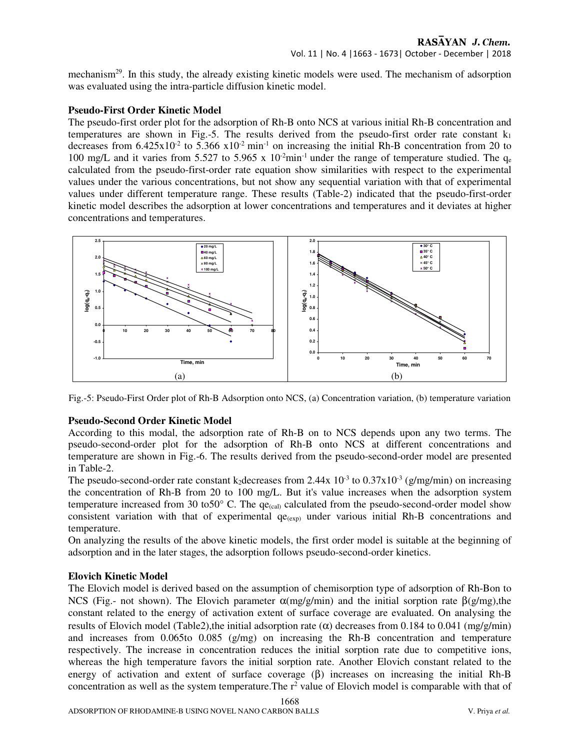mechanism<sup>29</sup>. In this study, the already existing kinetic models were used. The mechanism of adsorption was evaluated using the intra-particle diffusion kinetic model.

# **Pseudo-First Order Kinetic Model**

The pseudo-first order plot for the adsorption of Rh-B onto NCS at various initial Rh-B concentration and temperatures are shown in Fig.-5. The results derived from the pseudo-first order rate constant  $k_1$ decreases from  $6.425 \times 10^{-2}$  to  $5.366 \times 10^{-2}$  min<sup>-1</sup> on increasing the initial Rh-B concentration from 20 to 100 mg/L and it varies from 5.527 to 5.965 x  $10^{-2}$ min<sup>-1</sup> under the range of temperature studied. The  $q_e$ calculated from the pseudo-first-order rate equation show similarities with respect to the experimental values under the various concentrations, but not show any sequential variation with that of experimental values under different temperature range. These results (Table-2) indicated that the pseudo-first-order kinetic model describes the adsorption at lower concentrations and temperatures and it deviates at higher concentrations and temperatures.



Fig.-5: Pseudo-First Order plot of Rh-B Adsorption onto NCS, (a) Concentration variation, (b) temperature variation

# **Pseudo-Second Order Kinetic Model**

According to this modal, the adsorption rate of Rh-B on to NCS depends upon any two terms. The pseudo-second-order plot for the adsorption of Rh-B onto NCS at different concentrations and temperature are shown in Fig.-6. The results derived from the pseudo-second-order model are presented in Table-2.

The pseudo-second-order rate constant k<sub>2</sub> decreases from 2.44x  $10^{-3}$  to 0.37x10<sup>-3</sup> (g/mg/min) on increasing the concentration of Rh-B from 20 to 100 mg/L. But it's value increases when the adsorption system temperature increased from 30 to 50 $^{\circ}$  C. The qe<sub>(cal)</sub> calculated from the pseudo-second-order model show consistent variation with that of experimental  $qe_{(exp)}$  under various initial Rh-B concentrations and temperature.

On analyzing the results of the above kinetic models, the first order model is suitable at the beginning of adsorption and in the later stages, the adsorption follows pseudo-second-order kinetics.

# **Elovich Kinetic Model**

The Elovich model is derived based on the assumption of chemisorption type of adsorption of Rh-Bon to NCS (Fig.- not shown). The Elovich parameter  $α(mg/g/min)$  and the initial sorption rate  $β(g/mg)$ , the constant related to the energy of activation extent of surface coverage are evaluated. On analysing the results of Elovich model (Table2),the initial adsorption rate (α) decreases from 0.184 to 0.041 (mg/g/min) and increases from 0.065to 0.085 (g/mg) on increasing the Rh-B concentration and temperature respectively. The increase in concentration reduces the initial sorption rate due to competitive ions, whereas the high temperature favors the initial sorption rate. Another Elovich constant related to the energy of activation and extent of surface coverage  $(\beta)$  increases on increasing the initial Rh-B concentration as well as the system temperature. The  $r^2$  value of Elovich model is comparable with that of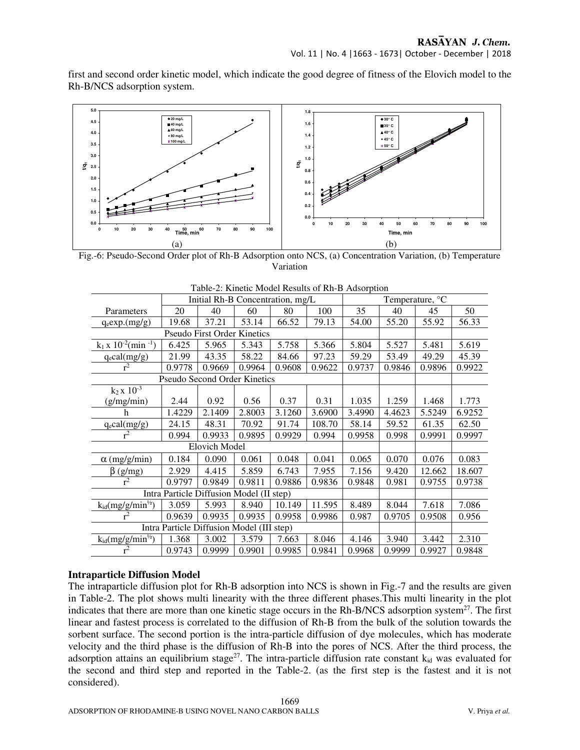first and second order kinetic model, which indicate the good degree of fitness of the Elovich model to the Rh-B/NCS adsorption system.



Fig.-6: Pseudo-Second Order plot of Rh-B Adsorption onto NCS, (a) Concentration Variation, (b) Temperature Variation

|                                           | Initial Rh-B Concentration, mg/L |                                    |        | Temperature, °C |        |        |        |        |        |
|-------------------------------------------|----------------------------------|------------------------------------|--------|-----------------|--------|--------|--------|--------|--------|
| Parameters                                | 20                               | 40                                 | 60     | 80              | 100    | 35     | 40     | 45     | 50     |
| $q_e exp.(mg/g)$                          | 19.68                            | 37.21                              | 53.14  | 66.52           | 79.13  | 54.00  | 55.20  | 55.92  | 56.33  |
|                                           |                                  | <b>Pseudo First Order Kinetics</b> |        |                 |        |        |        |        |        |
| $k_1 x 10^{-2}$ (min <sup>-1</sup> )      | 6.425                            | 5.965                              | 5.343  | 5.758           | 5.366  | 5.804  | 5.527  | 5.481  | 5.619  |
| $q_e$ cal $(mg/g)$                        | 21.99                            | 43.35                              | 58.22  | 84.66           | 97.23  | 59.29  | 53.49  | 49.29  | 45.39  |
| $r^2$                                     | 0.9778                           | 0.9669                             | 0.9964 | 0.9608          | 0.9622 | 0.9737 | 0.9846 | 0.9896 | 0.9922 |
| Pseudo Second Order Kinetics              |                                  |                                    |        |                 |        |        |        |        |        |
| $k_2 x 10^{-3}$                           |                                  |                                    |        |                 |        |        |        |        |        |
| (g/mg/min)                                | 2.44                             | 0.92                               | 0.56   | 0.37            | 0.31   | 1.035  | 1.259  | 1.468  | 1.773  |
| h                                         | 1.4229                           | 2.1409                             | 2.8003 | 3.1260          | 3.6900 | 3.4990 | 4.4623 | 5.5249 | 6.9252 |
| $q_e$ cal $(mg/g)$                        | 24.15                            | 48.31                              | 70.92  | 91.74           | 108.70 | 58.14  | 59.52  | 61.35  | 62.50  |
| $r^2$                                     | 0.994                            | 0.9933                             | 0.9895 | 0.9929          | 0.994  | 0.9958 | 0.998  | 0.9991 | 0.9997 |
| <b>Elovich Model</b>                      |                                  |                                    |        |                 |        |        |        |        |        |
| $\alpha$ (mg/g/min)                       | 0.184                            | 0.090                              | 0.061  | 0.048           | 0.041  | 0.065  | 0.070  | 0.076  | 0.083  |
| $\beta$ (g/mg)                            | 2.929                            | 4.415                              | 5.859  | 6.743           | 7.955  | 7.156  | 9.420  | 12.662 | 18.607 |
| $r^2$                                     | 0.9797                           | 0.9849                             | 0.9811 | 0.9886          | 0.9836 | 0.9848 | 0.981  | 0.9755 | 0.9738 |
| Intra Particle Diffusion Model (II step)  |                                  |                                    |        |                 |        |        |        |        |        |
| $k_{id}(mg/g/min^{1/2})$                  | 3.059                            | 5.993                              | 8.940  | 10.149          | 11.595 | 8.489  | 8.044  | 7.618  | 7.086  |
| $r^2$                                     | 0.9639                           | 0.9935                             | 0.9935 | 0.9958          | 0.9986 | 0.987  | 0.9705 | 0.9508 | 0.956  |
| Intra Particle Diffusion Model (III step) |                                  |                                    |        |                 |        |        |        |        |        |
| $k_{id}$ (mg/g/min <sup>1/2</sup> )       | 1.368                            | 3.002                              | 3.579  | 7.663           | 8.046  | 4.146  | 3.940  | 3.442  | 2.310  |
| $r^2$                                     | 0.9743                           | 0.9999                             | 0.9901 | 0.9985          | 0.9841 | 0.9968 | 0.9999 | 0.9927 | 0.9848 |

#### **Intraparticle Diffusion Model**

The intraparticle diffusion plot for Rh-B adsorption into NCS is shown in Fig.-7 and the results are given in Table-2. The plot shows multi linearity with the three different phases.This multi linearity in the plot indicates that there are more than one kinetic stage occurs in the Rh-B/NCS adsorption system<sup>27</sup>. The first linear and fastest process is correlated to the diffusion of Rh-B from the bulk of the solution towards the sorbent surface. The second portion is the intra-particle diffusion of dye molecules, which has moderate velocity and the third phase is the diffusion of Rh-B into the pores of NCS. After the third process, the adsorption attains an equilibrium stage<sup>27</sup>. The intra-particle diffusion rate constant  $k_{id}$  was evaluated for the second and third step and reported in the Table-2. (as the first step is the fastest and it is not considered).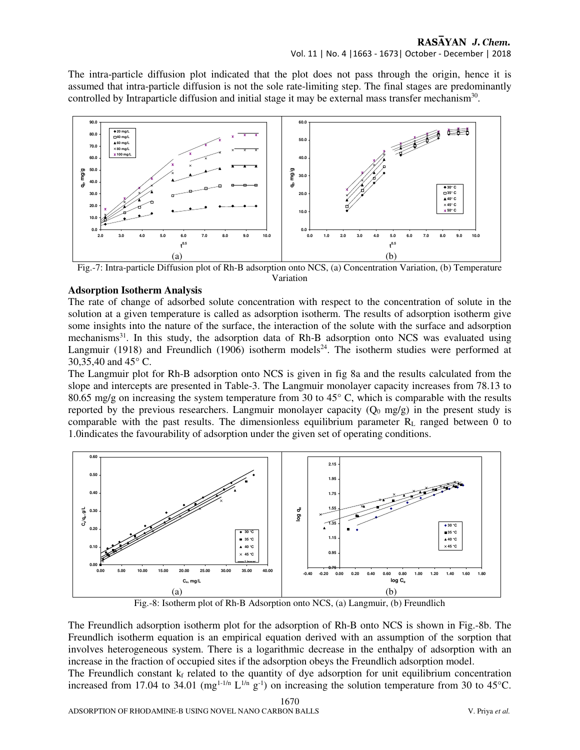#### RASAYAN J. Chem. Vol. 11 | No. 4 |1663 - 1673| October - December | 2018

The intra-particle diffusion plot indicated that the plot does not pass through the origin, hence it is assumed that intra-particle diffusion is not the sole rate-limiting step. The final stages are predominantly controlled by Intraparticle diffusion and initial stage it may be external mass transfer mechanism<sup>30</sup>.



Fig.-7: Intra-particle Diffusion plot of Rh-B adsorption onto NCS, (a) Concentration Variation, (b) Temperature Variation

# **Adsorption Isotherm Analysis**

The rate of change of adsorbed solute concentration with respect to the concentration of solute in the solution at a given temperature is called as adsorption isotherm. The results of adsorption isotherm give some insights into the nature of the surface, the interaction of the solute with the surface and adsorption mechanisms<sup>31</sup>. In this study, the adsorption data of Rh-B adsorption onto NCS was evaluated using Langmuir (1918) and Freundlich (1906) isotherm models<sup>24</sup>. The isotherm studies were performed at 30,35,40 and 45° C.

The Langmuir plot for Rh-B adsorption onto NCS is given in fig 8a and the results calculated from the slope and intercepts are presented in Table-3. The Langmuir monolayer capacity increases from 78.13 to 80.65 mg/g on increasing the system temperature from 30 to  $45^{\circ}$  C, which is comparable with the results reported by the previous researchers. Langmuir monolayer capacity  $(Q_0 \text{ mg/g})$  in the present study is comparable with the past results. The dimensionless equilibrium parameter  $R<sub>L</sub>$  ranged between 0 to 1.0indicates the favourability of adsorption under the given set of operating conditions.



Fig.-8: Isotherm plot of Rh-B Adsorption onto NCS, (a) Langmuir, (b) Freundlich

The Freundlich adsorption isotherm plot for the adsorption of Rh-B onto NCS is shown in Fig.-8b. The Freundlich isotherm equation is an empirical equation derived with an assumption of the sorption that involves heterogeneous system. There is a logarithmic decrease in the enthalpy of adsorption with an increase in the fraction of occupied sites if the adsorption obeys the Freundlich adsorption model.

The Freundlich constant  $k_f$  related to the quantity of dye adsorption for unit equilibrium concentration increased from 17.04 to 34.01 (mg<sup>1-1/n</sup> L<sup>1/n</sup> g<sup>-1</sup>) on increasing the solution temperature from 30 to 45<sup>o</sup>C.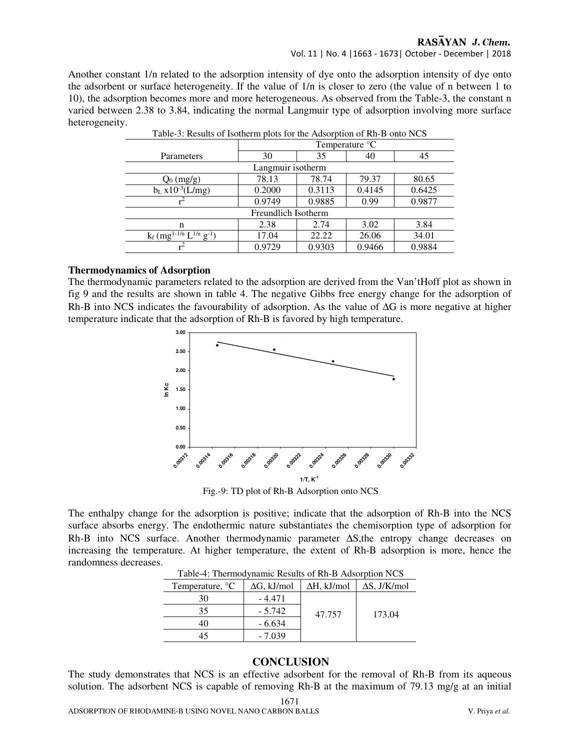#### Vol. 11 | No. 4 |1663 - 1673| October - December | 2018

Another constant 1/n related to the adsorption intensity of dye onto the adsorption intensity of dye onto the adsorbent or surface heterogeneity. If the value of 1/n is closer to zero (the value of n between 1 to 10), the adsorption becomes more and more heterogeneous. As observed from the Table-3, the constant n varied between 2.38 to 3.84, indicating the normal Langmuir type of adsorption involving more surface heterogeneity.

| Lable-5. Results of Isotherm prots for the Ausorphion of Rif-B onto NCS |                            |        |        |        |  |
|-------------------------------------------------------------------------|----------------------------|--------|--------|--------|--|
|                                                                         | Temperature <sup>o</sup> C |        |        |        |  |
| Parameters                                                              | 30                         | 35     | 40     | 45     |  |
| Langmuir isotherm                                                       |                            |        |        |        |  |
| $Q_0$ (mg/g)                                                            | 78.13                      | 78.74  | 79.37  | 80.65  |  |
| $b_L x 10^{-3} (L/mg)$                                                  | 0.2000                     | 0.3113 | 0.4145 | 0.6425 |  |
|                                                                         | 0.9749                     | 0.9885 | 0.99   | 0.9877 |  |
| Freundlich Isotherm                                                     |                            |        |        |        |  |
| n                                                                       | 2.38                       | 2.74   | 3.02   | 3.84   |  |
| $k_f$ (mg <sup>1-1/n</sup> L <sup>1/n</sup> g <sup>-1</sup> )           | 17.04                      | 22.22  | 26.06  | 34.01  |  |
|                                                                         | 0.9729                     | 0.9303 | 0.9466 | 0.9884 |  |

Table-3: Results of Isotherm plots for the Adsorption of Rh-B onto NCS

#### **Thermodynamics of Adsorption**

The thermodynamic parameters related to the adsorption are derived from the Van'tHoff plot as shown in fig 9 and the results are shown in table 4. The negative Gibbs free energy change for the adsorption of Rh-B into NCS indicates the favourability of adsorption. As the value of ∆G is more negative at higher temperature indicate that the adsorption of Rh-B is favored by high temperature.



Fig.-9: TD plot of Rh-B Adsorption onto NCS

The enthalpy change for the adsorption is positive; indicate that the adsorption of Rh-B into the NCS surface absorbs energy. The endothermic nature substantiates the chemisorption type of adsorption for Rh-B into NCS surface. Another thermodynamic parameter ∆S,the entropy change decreases on increasing the temperature. At higher temperature, the extent of Rh-B adsorption is more, hence the randomness decreases.

| Temperature, <sup>o</sup> C | $\Delta G$ , kJ/mol | $\Delta H$ , kJ/mol | $\Delta S$ , J/K/mol |  |
|-----------------------------|---------------------|---------------------|----------------------|--|
| 30                          | $-4.471$            |                     |                      |  |
| 35                          | $-5.742$            | 47.757              | 173.04               |  |
| 40                          | $-6.634$            |                     |                      |  |
|                             | $-7.039$            |                     |                      |  |
|                             |                     |                     |                      |  |

Table-4: Thermodynamic Results of Rh-B Adsorption NCS

# **CONCLUSION**

The study demonstrates that NCS is an effective adsorbent for the removal of Rh-B from its aqueous solution. The adsorbent NCS is capable of removing Rh-B at the maximum of 79.13 mg/g at an initial

1671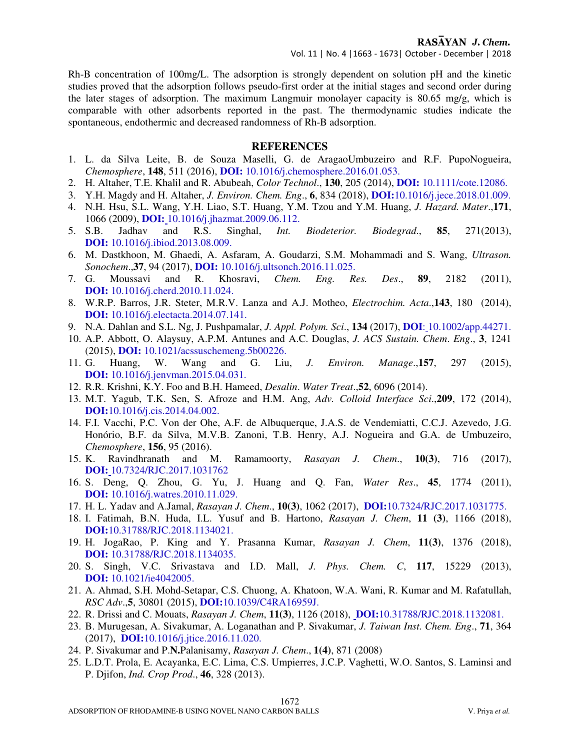Vol. 11 | No. 4 |1663 - 1673| October - December | 2018

Rh-B concentration of 100mg/L. The adsorption is strongly dependent on solution pH and the kinetic studies proved that the adsorption follows pseudo-first order at the initial stages and second order during the later stages of adsorption. The maximum Langmuir monolayer capacity is 80.65 mg/g, which is comparable with other adsorbents reported in the past. The thermodynamic studies indicate the spontaneous, endothermic and decreased randomness of Rh-B adsorption.

#### **REFERENCES**

- 1. L. da Silva Leite, B. de Souza Maselli, G. de AragaoUmbuzeiro and R.F. PupoNogueira, *Chemosphere*, **148**, 511 (2016), **DOI:** 10.1016/j.chemosphere.2016.01.053.
- 2. H. Altaher, T.E. Khalil and R. Abubeah, *Color Technol*., **130**, 205 (2014), **DOI:** 10.1111/cote.12086.
- 3. Y.H. Magdy and H. Altaher, *J. Environ. Chem. Eng*., **6**, 834 (2018), **DOI:**10.1016/j.jece.2018.01.009.
- 4. N.H. Hsu, S.L. Wang, Y.H. Liao, S.T. Huang, Y.M. Tzou and Y.M. Huang, *J. Hazard. Mater*.,**171**, 1066 (2009), **DOI:** 10.1016/j.jhazmat.2009.06.112.
- 5. S.B. Jadhav and R.S. Singhal, *Int. Biodeterior. Biodegrad*., **85**, 271(2013), **DOI:** 10.1016/j.ibiod.2013.08.009.
- 6. M. Dastkhoon, M. Ghaedi, A. Asfaram, A. Goudarzi, S.M. Mohammadi and S. Wang, *Ultrason. Sonochem*.,**37**, 94 (2017), **DOI:** 10.1016/j.ultsonch.2016.11.025.
- 7. G. Moussavi and R. Khosravi, *Chem. Eng. Res. Des*., **89**, 2182 (2011), **DOI:** 10.1016/j.cherd.2010.11.024.
- 8. W.R.P. Barros, J.R. Steter, M.R.V. Lanza and A.J. Motheo, *Electrochim. Acta*.,**143**, 180 (2014), **DOI:** 10.1016/j.electacta.2014.07.141.
- 9. N.A. Dahlan and S.L. Ng, J. Pushpamalar, *J. Appl. Polym. Sci*., **134** (2017), **DOI**: 10.1002/app.44271.
- 10. A.P. Abbott, O. Alaysuy, A.P.M. Antunes and A.C. Douglas, *J. ACS Sustain. Chem*. *Eng*., **3**, 1241 (2015), **DOI:** 10.1021/acssuschemeng.5b00226.
- 11. G. Huang, W. Wang and G. Liu, *J. Environ. Manage*.,**157**, 297 (2015), **DOI:** 10.1016/j.jenvman.2015.04.031.
- 12. R.R. Krishni, K.Y. Foo and B.H. Hameed, *Desalin*. *Water Treat*.,**52**, 6096 (2014).
- 13. M.T. Yagub, T.K. Sen, S. Afroze and H.M. Ang, *Adv. Colloid Interface Sci*.,**209**, 172 (2014), **DOI:**10.1016/j.cis.2014.04.002.
- 14. F.I. Vacchi, P.C. Von der Ohe, A.F. de Albuquerque, J.A.S. de Vendemiatti, C.C.J. Azevedo, J.G. Honório, B.F. da Silva, M.V.B. Zanoni, T.B. Henry, A.J. Nogueira and G.A. de Umbuzeiro, *Chemosphere*, **156**, 95 (2016).
- 15. K. Ravindhranath and M. Ramamoorty, *Rasayan J. Chem*., **10(3)**, 716 (2017), **DOI:** 10.7324/RJC.2017.1031762
- 16. S. Deng, Q. Zhou, G. Yu, J. Huang and Q. Fan, *Water Res*., **45**, 1774 (2011), **DOI:** 10.1016/j.watres.2010.11.029.
- 17. H. L. Yadav and A.Jamal, *Rasayan J. Chem*., **10(3)**, 1062 (2017), **DOI:**10.7324/RJC.2017.1031775.
- 18. I. Fatimah, B.N. Huda, I.L. Yusuf and B. Hartono, *Rasayan J. Chem*, **11 (3)**, 1166 (2018), **DOI:**10.31788/RJC.2018.1134021.
- 19. H. JogaRao, P. King and Y. Prasanna Kumar, *Rasayan J. Chem*, **11(3)**, 1376 (2018), **DOI:** 10.31788/RJC.2018.1134035.
- 20. S. Singh, V.C. Srivastava and I.D. Mall, *J. Phys. Chem. C*, **117**, 15229 (2013), **DOI:** 10.1021/ie4042005.
- 21. A. Ahmad, S.H. Mohd-Setapar, C.S. Chuong, A. Khatoon, W.A. Wani, R. Kumar and M. Rafatullah, *RSC Adv*.,**5**, 30801 (2015), **DOI:**10.1039/C4RA16959J.
- 22. R. Drissi and C. Mouats, *Rasayan J. Chem*, **11(3)**, 1126 (2018), **DOI:**10.31788/RJC.2018.1132081.
- 23. B. Murugesan, A. Sivakumar, A. Loganathan and P. Sivakumar, *J. Taiwan Inst. Chem. Eng*., **71**, 364 (2017), **DOI:**10.1016/j.jtice.2016.11.020.
- 24. P. Sivakumar and P.**N.**Palanisamy, *Rasayan J. Chem*., **1(4)**, 871 (2008)
- 25. L.D.T. Prola, E. Acayanka, E.C. Lima, C.S. Umpierres, J.C.P. Vaghetti, W.O. Santos, S. Laminsi and P. Djifon, *Ind. Crop Prod*., **46**, 328 (2013).